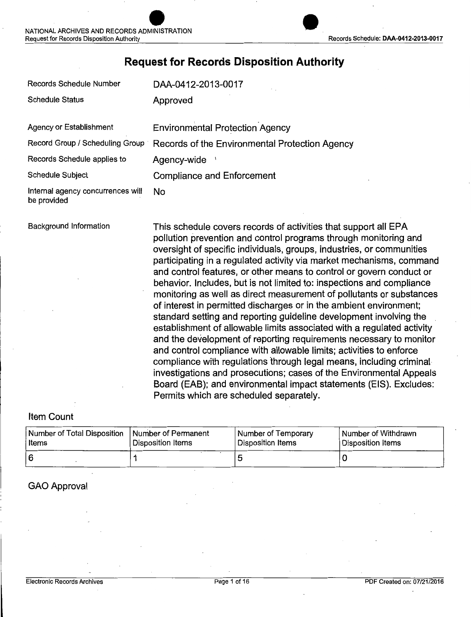### **Request for Records Disposition Authority**

| <b>Records Schedule Number</b>                   | DAA-0412-2013-0017                                                                                                                                                                                                                                                                                                                                                                                                                                                                                                                                                                                                                                                                                                                                                                                                                                                                                                                                                                                                                                                                                                                             |  |
|--------------------------------------------------|------------------------------------------------------------------------------------------------------------------------------------------------------------------------------------------------------------------------------------------------------------------------------------------------------------------------------------------------------------------------------------------------------------------------------------------------------------------------------------------------------------------------------------------------------------------------------------------------------------------------------------------------------------------------------------------------------------------------------------------------------------------------------------------------------------------------------------------------------------------------------------------------------------------------------------------------------------------------------------------------------------------------------------------------------------------------------------------------------------------------------------------------|--|
| <b>Schedule Status</b>                           | Approved                                                                                                                                                                                                                                                                                                                                                                                                                                                                                                                                                                                                                                                                                                                                                                                                                                                                                                                                                                                                                                                                                                                                       |  |
| Agency or Establishment                          | <b>Environmental Protection Agency</b>                                                                                                                                                                                                                                                                                                                                                                                                                                                                                                                                                                                                                                                                                                                                                                                                                                                                                                                                                                                                                                                                                                         |  |
| Record Group / Scheduling Group                  | Records of the Environmental Protection Agency                                                                                                                                                                                                                                                                                                                                                                                                                                                                                                                                                                                                                                                                                                                                                                                                                                                                                                                                                                                                                                                                                                 |  |
| Records Schedule applies to                      | Agency-wide                                                                                                                                                                                                                                                                                                                                                                                                                                                                                                                                                                                                                                                                                                                                                                                                                                                                                                                                                                                                                                                                                                                                    |  |
| <b>Schedule Subject</b>                          | <b>Compliance and Enforcement</b>                                                                                                                                                                                                                                                                                                                                                                                                                                                                                                                                                                                                                                                                                                                                                                                                                                                                                                                                                                                                                                                                                                              |  |
| Internal agency concurrences will<br>be provided | No                                                                                                                                                                                                                                                                                                                                                                                                                                                                                                                                                                                                                                                                                                                                                                                                                                                                                                                                                                                                                                                                                                                                             |  |
| Background Information                           | This schedule covers records of activities that support all EPA<br>pollution prevention and control programs through monitoring and<br>oversight of specific individuals, groups, industries, or communities<br>participating in a regulated activity via market mechanisms, command<br>and control features, or other means to control or govern conduct or<br>behavior. Includes, but is not limited to: inspections and compliance<br>monitoring as well as direct measurement of pollutants or substances<br>of interest in permitted discharges or in the ambient environment;<br>standard setting and reporting guideline development involving the<br>establishment of allowable limits associated with a regulated activity<br>and the development of reporting requirements necessary to monitor<br>and control compliance with allowable limits; activities to enforce<br>compliance with regulations through legal means, including criminal<br>investigations and prosecutions; cases of the Environmental Appeals<br>Board (EAB); and environmental impact statements (EIS). Excludes:<br>Permits which are scheduled separately. |  |

### Item Count

| Number of Total Disposition | Number of Permanent | Number of Temporary | Number of Withdrawn |
|-----------------------------|---------------------|---------------------|---------------------|
| Items                       | Disposition Items   | Disposition Items   | Disposition Items   |
|                             |                     |                     |                     |

### GAO Approval

 $\overline{a}$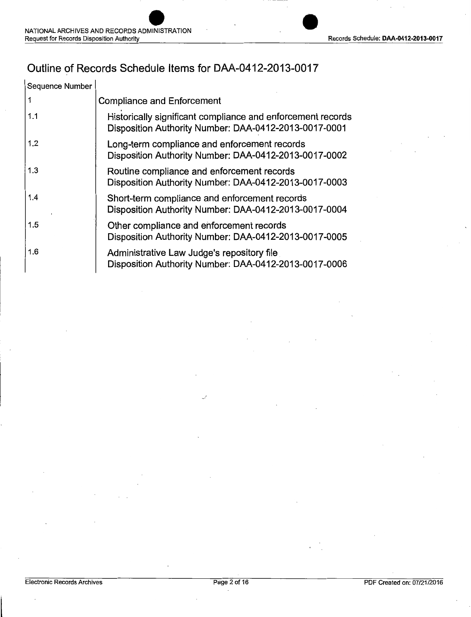### Outline of Records Schedule Items for DAA-0412-2013-0017

| Sequence Number |                                                                                                                      |
|-----------------|----------------------------------------------------------------------------------------------------------------------|
|                 | <b>Compliance and Enforcement</b>                                                                                    |
| 1.1             | Historically significant compliance and enforcement records<br>Disposition Authority Number: DAA-0412-2013-0017-0001 |
| 1.2             | Long-term compliance and enforcement records<br>Disposition Authority Number: DAA-0412-2013-0017-0002                |
| 1.3             | Routine compliance and enforcement records<br>Disposition Authority Number: DAA-0412-2013-0017-0003                  |
| 1.4             | Short-term compliance and enforcement records<br>Disposition Authority Number: DAA-0412-2013-0017-0004               |
| 1.5             | Other compliance and enforcement records<br>Disposition Authority Number: DAA-0412-2013-0017-0005                    |
| 1.6             | Administrative Law Judge's repository file<br>Disposition Authority Number: DAA-0412-2013-0017-0006                  |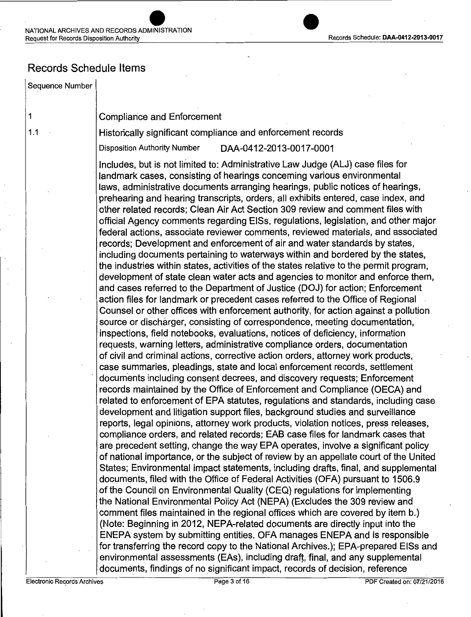### Records Schedule Items

#### Sequence Number

1

1.1

#### Compliance and Enforcement

Historically significant compliance and enforcement records

Disposition Authority Number DM-0412-2013-0017-0001

Includes, but is not limited to: Administrative Law Judge (ALJ) case files for landmark cases, consisting of hearings concerning various environmental laws, administrative documents arranging hearings, public notices of hearings, prehearing and hearing transcripts, orders, all exhibits entered, case index, and other related records; Clean Air Act Section 309 review and comment files with official Agency comments regarding EISs, regulations, legislation, and ottier major federal actions, associate reviewer comments, reviewed materials, and associated records; Development and enforcement of air and water standards by states, including documents pertaining to waterways within and bordered by the states, the industries within states, activities of the states relative to the permit program, development of state clean water acts and agencies to monitor and enforce them, and cases referred to the Department of Justice (DOJ) for action; Enforcement action files for landmark or precedent cases referred to the Office of Regional Counsel or other offices with enforcement authority, for action against a pollution source or discharger, consisting of correspondence, meeting documentation, inspections, field notebooks, evaluations, notices of deficiency, information requests, warning letters, administrative compliance orders, documentation of civil and criminal actions, corrective action orders, attorney work products, case summaries, pleadings, state and local enforcement records, settlement documents including consent decrees, and discovery requests; Enforcement records maintained by the Office of Enforcement and Compliance (OECA) and related to enforcement of EPA statutes, regulations and standards, including case development and litigation support files, background studies and surveillance reports, legal opinions, attorney work products, violation notices, press releases, compliance orders, and related records; EAB case files for landmark cases that are precedent setting, change the way EPA operates, involve a significant policy of national importance, or the subject of review by an appellate court of the United States; Environmental impact statements, including drafts, final, and supplemental documents, filed with the Office of Federal Activities (OFA) pursuant to 1506.9 of the Council on Environmental Quality (CEQ) regulations for implementing the National Environmental Policy Act (NEPA) (Excludes the 309 review and comment files maintained in the regional offices which are covered by item b.) (Note: Beginning in 2012, NEPA-related documents are directly input into the ENEPA system by submitting entities. OFA manages ENEPA and is responsible for transferring the record copy to the National Archives.); EPA-prepared EISs and environmental assessments (EAs), including draft, final, and any supplemental documents, findings of no significant impact, records of decision, reference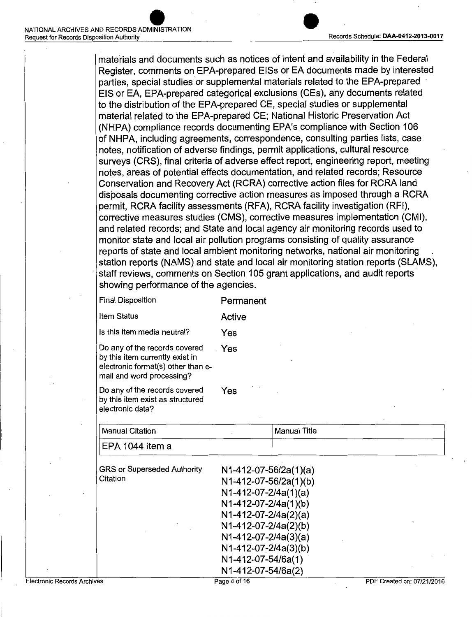materials and documents such as notices of intent and availability in the Federal Register, comments on EPA-prepared EISs or EA documents made by interested parties, special studies or supplemental materials related to the EPA-prepared EIS or EA, EPA-prepared categorical exclusions (CEs), any documents related to the distribution of the EPA-prepared CE, special studies or supplemental material related to the EPA-prepared CE; National Historic Preservation Act (NHPA) compliance records documenting EPA's compliance with Section 106 of NHPA, including agreements, correspondence, consulting parties lists, case notes, notification of adverse findings, permit applications, cultural resource surveys (CRS), final criteria of adverse effect report, engineering report, meeting notes, areas of potential effects documentation, and related records; Resource Conservation and Recovery Act (RCRA) corrective action files for RCRA land disposals documenting corrective action measures as imposed through a RCRA permit, RCRA facility assessments (RFA), RCRA facility investigation (RFI), corrective measures studies (CMS), corrective measures implementation (CMI), and related records; and State and local agency air monitoring records used to monitor state and local air pollution programs consisting of quality assurance reports of state and local ambient monitoring networks, national air monitoring station reports (NAMS) and state and local air monitoring station reports (SLAMS), staff reviews, comments on Section 105 grant applications, and audit reports· showing performance of the agencies.

| <b>Final Disposition</b>                                                                                                            | Permanent |
|-------------------------------------------------------------------------------------------------------------------------------------|-----------|
| Item Status                                                                                                                         | Active    |
| Is this item media neutral?                                                                                                         | Yes       |
| Do any of the records covered<br>by this item currently exist in<br>electronic format(s) other than e-<br>mail and word processing? | . Yes     |
| Do any of the records covered<br>by this item exist as structured<br>electronic data?                                               | Yes       |

| <b>Manual Citation</b>                         | <b>Manual Title</b>                                                                                                                                                                                                                                |
|------------------------------------------------|----------------------------------------------------------------------------------------------------------------------------------------------------------------------------------------------------------------------------------------------------|
| EPA 1044 item a                                |                                                                                                                                                                                                                                                    |
| <b>GRS or Superseded Authority</b><br>Citation | $N1-412-07-56/2a(1)(a)$<br>N1-412-07-56/2a(1)(b)<br>$N1-412-07-2/4a(1)(a)$<br>N1-412-07-2/4a(1)(b)<br>$N1-412-07-2/4a(2)(a)$<br>N1-412-07-2/4a(2)(b)<br>$N1-412-07-2/4a(3)(a)$<br>N1-412-07-2/4a(3)(b)<br>N1-412-07-54/6a(1)<br>N1-412-07-54/6a(2) |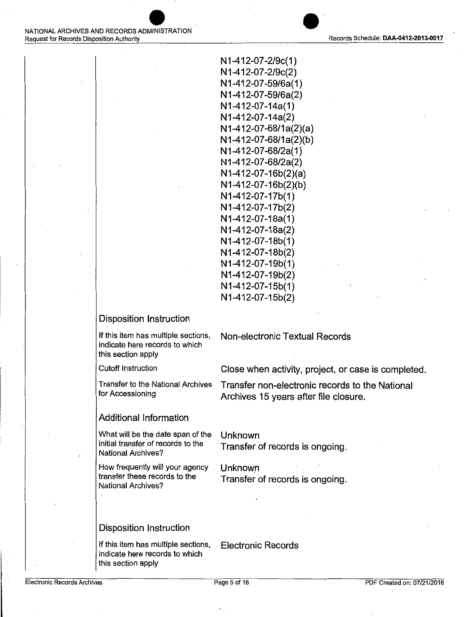

N 1-412-07-2/9c(1) N 1-412-07-2/9c(2) N 1-412-07-59/6a( 1) N1-412-07-59/6a(2) N1-412-07-14a(1) N1-412-07-14a(2)  $N1-412-07-68/1a(2)(a)$ N 1-412-07-68/1a(2)(b) N 1-412-07-68/28( 1) N 1-412-07-68/2a(2) N1-412-07-16b(2)(a) N 1-412-07-16b(2)(b) N1-412-07-17b(1) N 1-412-07-17b(2) N1-412-07-18a(1) N 1-412-07-18a(2) N1-412-07-18b(1) · N1-412-07-18b(2) N1-412-07-19b(1) N 1-412-07-19b(2) N1-412-07-15b(1) N1-412-07-15b(2)

#### Disposition Instruction

If this item has multiple sections, Non-electronic Textual Records indicate here records to which this section apply

Cutoff Instruction Close when activity, project, or case is completed.

Transfer to the National Archives Transfer non-electronic records to the National<br>for Accessioning Archives 15 years after file closure Archives 15 years after file closure.

#### Additional Information

What will be the date span of the Unknown<br>initial transfer of records to the  $\tau$ National Archives?

How frequently will your agency Unknown<br>transfer these records to the Transfer transfer these records to the Transfer of records is ongoing.<br>National Archives?

Transfer of records is ongoing.

#### Disposition Instruction

If this item has multiple sections, Electronic Records indicate here records to which this section apply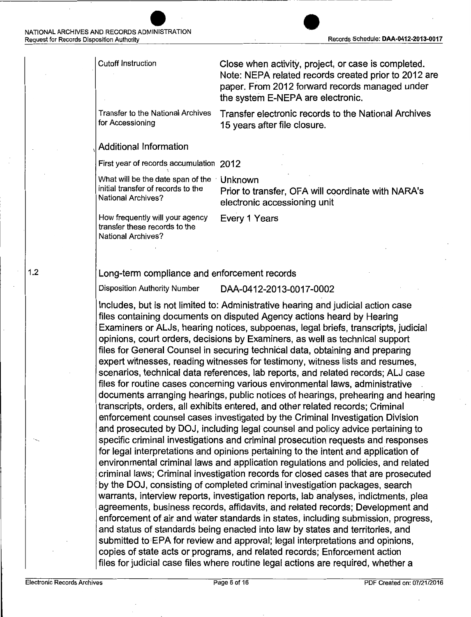Cutoff Instruction Transfer to the National Archives for Accessioning Close when activity, project, or case is completed. Note: NEPA related records created prior to 2012 are paper. From 2012 forward records managed under the system E-NEPA are electronic. Transfer electronic records to the National Archives 15 years after file closure.

#### Additional Information

First year of records accumulation 2012

What will be the date span of the Unknown initial transfer of records to the National Archives?

Prior to transfer, OFA will coordinate with NARA's electronic accessioning unit

How frequently will your agency transfer these records to the National Archives?

Every 1 Years

#### Long-term compliance and enforcement records

Disposition Authority Number DAA-0412-2013-0017-0002

Includes, but is not limited to: Administrative hearing and judicial action case files containing documents on disputed Agency actions heard by Hearing Examiners or ALJs, hearing notices, subpoenas, legal briefs, transcripts, judicial opinions, court orders, decisions by Examiners, as well as technical support files for General Counsel in securing technical data, obtaining and preparing expert witnesses, reading witnesses for testimony, witness lists and resumes, scenarios, technical data references, lab reports, and related records; ALJ case files for routine cases concerning various environmental laws, administrative . documents arranging hearings, public notices of hearings, prehearing and hearing transcripts, orders, all exhibits entered, and other related records; Criminal enforcement counsel cases investigated by the Criminal Investigation Division and prosecuted by DOJ, including legal counsel and policy advice pertaining to specific criminal investigations and criminal prosecution requests and responses for legal interpretations and opinions pertaining to the intent and application of environmental criminal laws and application regulations and policies, and related criminal laws; Criminal investigation records for closed cases that are prosecuted by the DOJ, consisting of completed criminal investigation packages, search warrants, interview reports, investigation reports, lab analyses, indictments, plea agreements, business records, affidavits, and related records; Development and enforcement of air and water standards in states, including submission, progress, and status of standards being enacted into law by states and territories, and submitted to EPA for review and approval; legal interpretations and opinions, copies of state acts or programs, and related records; Enforcement action files for judicial case files where routine legal actions are required, whether a

1.2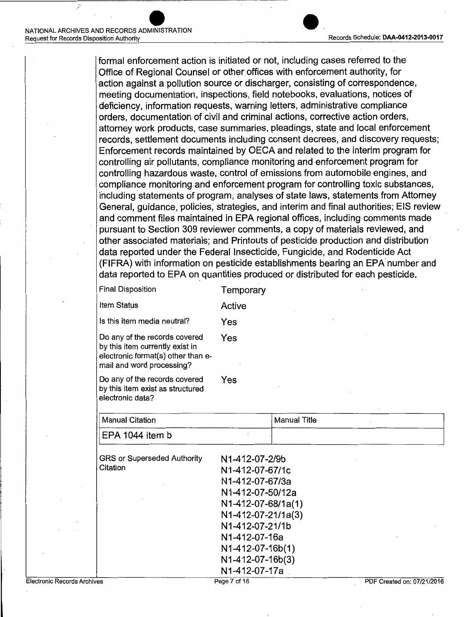formal enforcement action is initiated or not, including cases referred to the Office of Regional Counsel or other offices with enforcement authority, for action against a pollution source or discharger, consisting of correspondence, meeting documentation, inspections, field notebooks, evaluations, notices of deficiency, information requests, warning letters, administrative compliance orders, documentation of civil and criminal actions, corrective action orders, attorney work products, case summaries, pleadings, state and local enforcement records, settlement documents including consent decrees, and discovery requests; Enforcement records maintained by OECA and related to the interim program for controlling air pollutants, compliance monitoring and enforcement program for controlling hazardous waste, control of emissions from automobile engines, and compliance monitoring and enforcement program for controlling toxic substances, including statements of program, analyses of state laws, statements from Attorney General, guidance, policies, strategies, and interim and final authorities; EIS review and comment files maintained in EPA regional offices, including comments made pursuant to Section 309 reviewer comments, a copy of materials reviewed, and other associated materials; and Printouts of pesticide production and distribution data reported under the Federal Insecticide, Fungicide, and Rodenticide Act (FIFRA) with information on pesticide establishments bearing an EPA number and data reported to EPA on quantities produced or distributed for each pesticide.

| <b>Final Disposition</b>                                                                                                            | Temporary |
|-------------------------------------------------------------------------------------------------------------------------------------|-----------|
| <b>Item Status</b>                                                                                                                  | Active    |
| Is this item media neutral?                                                                                                         | Yes       |
| Do any of the records covered<br>by this item currently exist in<br>electronic format(s) other than e-<br>mail and word processing? | Yes       |
| Do any of the records covered<br>by this item exist as structured<br>electronic data?                                               | Yes       |

| <b>Manual Citation</b>             |                    | <b>Manual Title</b> |
|------------------------------------|--------------------|---------------------|
| EPA 1044 item b                    |                    |                     |
| <b>GRS or Superseded Authority</b> | N1-412-07-2/9b     |                     |
| Citation                           | N1-412-07-67/1c    |                     |
|                                    | N1-412-07-67/3a    |                     |
|                                    | N1-412-07-50/12a   |                     |
|                                    | N1-412-07-68/1a(1) |                     |
|                                    | N1-412-07-21/1a(3) |                     |
|                                    | N1-412-07-21/1b    |                     |
|                                    | N1-412-07-16a      |                     |
|                                    | N1-412-07-16b(1)   |                     |

N1-412-07-16b(3) N1-412-07-17a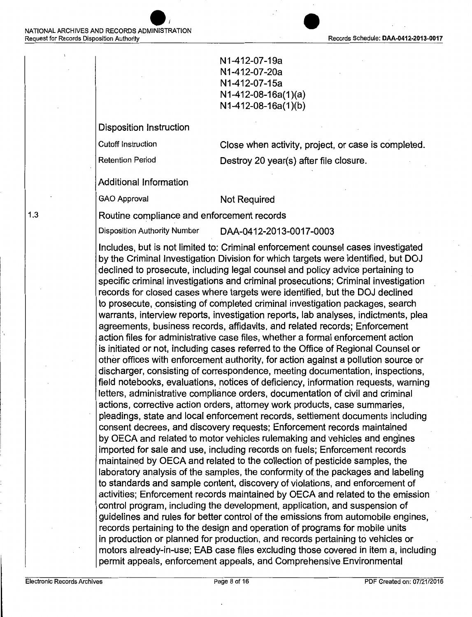

N1-412-07-19a N 1-412-07-20a N1-412-07-15a N1-412-08-16a(1 )(a) N1-412-08-16a(1 )(b)

Disposition Instruction

Cutoff Instruction Close when activity, project, or case is completed.

Retention Period **Destroy 20 year(s)** after file closure.

Additional Information

GAO Approval Not Required

Routine compliance and enforcement records

Disposition Authority Number DAA-0412-2013-0017-0003

Includes, but is not limited to: Criminal enforcement counsel cases investigated by the Criminal Investigation Division for which targets were identified, but DOJ declined to prosecute, including legal counsel and policy advice pertaining to specific criminal investigations and criminal prosecutions; Criminal investigation records for closed cases where targets were identified, but the DOJ declined to prosecute, consisting of completed criminal investigation packages, search warrants, interview reports, investigation reports, lab analyses, indictments, plea agreements, business records, affidavits, and related records; Enforcement action files for administrative case files, whether a formal enforcement action is initiated or not, including cases referred to the Office of Regional Counsel or other offices with enforcement authority, for actiori against a pollution source or discharger, consisting of correspondence, meeting documentation, inspections, field notebooks, evaluations, notices of deficiency, information requests, warning letters, administrative compliance orders, documentation of civil and criminal actions, corrective action orders, attorney work products, case summaries, pleadings, state and local enforcement records, settlement documents including consent decrees, and discovery requests; Enforcement records maintained by OECA and related to motor vehicles rulemaking and vehicles and eng'ines imported for sale and use, including records on fuels; Enforcement records maintained by OECA and related to the collection of pesticide samples, the laboratory analysis of the samples, the conformity of the packages and labeling to standards and sample content, discovery of violations, and enforcement of activities; Enforcement records maintained by OECA and related to the emission control program, including the development, application, and suspension of guidelines and rules for better control of the emissions from automobile engines, records pertaining to the design and operation of programs for mobile units in production or planned for production, and records pertaining to vehicles or motors already-in-use; EAB case files excluding those covered in item a, including permit appeals, enforcement appeals, and Comprehensive.Environmental

1.3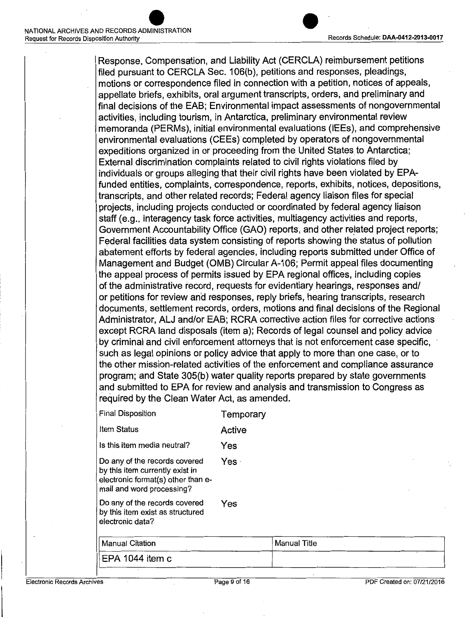

Response, Compensation, and Liability Act (CERCLA) reimbursement petitions filed pursuant to CERCLA Sec. 106(b), petitions and responses, pleadings, motions or correspondence filed in connection with a petition, notices of appeals, appellate briefs, exhibits, oral argument transcripts, orders, and preliminary and final decisions of the EAB; Environmental impact assessments of nongovernmental activities, including tourism, in Antarctica, preliminary environmental review memoranda (PERMs), initial environmental evaluations (IEEs), and comprehensive environmental evaluations (CEEs) completed by operators of nongovernmental expeditions organized in or proceeding from the United States to Antarctica; External discrimination complaints related to civil rights violations filed by individuals or groups alleging that their civil rights have been violated by EPAfunded entities, complaints, correspondence, reports, exhibits, notices, depositions, transcripts, and other related records; Federal agency liaison files for special projects, including projects conducted or coordinated by federal agency liaison staff (e.g., interagency task force activities, multiagency activities and reports, Government Accountability Office (GAO) reports, and other related project reports; Federal facilities data system consisting of reports showing the status of pollution abatement efforts by federal agencies, including reports submitted under Office of Management and Budget (OMB) Circular A-106; Permit appeal files documenting the appeal process of permits issued by EPA regional offices, including copies of the administrative record, requests for evidentiary hearings, responses and/ or petitions for review and responses, reply briefs, hearing transcripts, research documents, settlement records, orders, motions and final decisions of the Regional Administrator, ALJ and/or EAB; RCRA corrective action files for corrective actions except RCRA land disposals (item a); Records of legal counsel and policy advice by criminal and civil enforcement attorneys that is not enforcement case specific, · such as legal opinions or policy advice that apply to more than one case, or to the other mission-related activities of the enforcement and compliance assurance program; and State 305(b) water quality reports prepared by state governments and submitted to EPA for review and analysis and transmission to Congress as required by the Clean Water Act, as amended.

| <b>Final Disposition</b>                                                                                                            | Temporary |
|-------------------------------------------------------------------------------------------------------------------------------------|-----------|
| Item Status                                                                                                                         | Active    |
| Is this item media neutral?                                                                                                         | Yes       |
| Do any of the records covered<br>by this item currently exist in<br>electronic format(s) other than e-<br>mail and word processing? | Yes -     |
| Do any of the records covered<br>by this item exist as structured<br>electronic data?                                               | Yes       |
| <b>Manual Citation</b>                                                                                                              |           |
|                                                                                                                                     |           |

| Manual Citation             | Manual Title |  |
|-----------------------------|--------------|--|
| $\parallel$ EPA 1044 item c |              |  |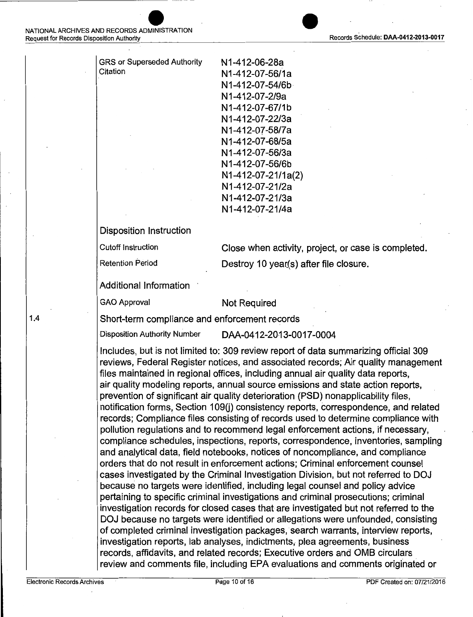| <b>GRS or Superseded Authority</b> | N1-412-06-28a      |
|------------------------------------|--------------------|
| Citation                           | N1-412-07-56/1a    |
|                                    | N1-412-07-54/6b    |
|                                    | N1-412-07-2/9a     |
|                                    | N1-412-07-67/1b    |
|                                    | N1-412-07-22/3a    |
|                                    | N1-412-07-58/7a    |
|                                    | N1-412-07-68/5a    |
|                                    | N1-412-07-56/3a    |
|                                    | N1-412-07-56/6b    |
|                                    | N1-412-07-21/1a(2) |
|                                    | N1-412-07-21/2a    |
|                                    | N1-412-07-21/3a    |
|                                    | N1-412-07-21/4a    |
|                                    |                    |

Disposition Instruction

Cutoff Instruction Close when activity, project, or case is completed.

Retention Period **Destroy 10 year(s)** after file closure.

Additional Information

#### GAO Approval Not Required

Short-term compliance and enforcement records

Disposition Authority Number DAA-0412-20·13-0017-0004

Includes, but is not limited to: 309 review report of data summarizing official 309 reviews, Federal Register notices, and associated records; Air quality management files maintained in regional offices, including annual air quality data reports, air quality modeling reports, annual source emissions and state action reports, prevention of significant air quality deterioration (PSD) nonapplicability files, notification forms, Section 109(j) consistency reports, correspondence, and related records; Compliance files consisting of records used to determine compliance with pollution regulations and to recommend legal enforcement actions, if necessary, compliance schedules, inspections, reports, correspondence, inventories, sampling and analytical data, field notebooks, notices of noncompliance, and compliance orders that do not result in enforcement actions; Criminal enforcement counsel cases investigated by the Criminal Investigation Division, but not referred to DOJ because no targets were identified, including legal counsel and policy advice pertaining to specific criminal investigations and criminal prosecutions; criminal investigation records for closed cases that are investigated but not referred to the DOJ because no targets were identified or allegations were unfounded, consisting of completed criminal investigation packages, search warrants, interview reports, investigation reports, lab analyses, indictments, plea agreements, business records, affidavits, and related records; Executive orders and OMB circulars review and comments file, including EPA evaluations and comments originated or



1.4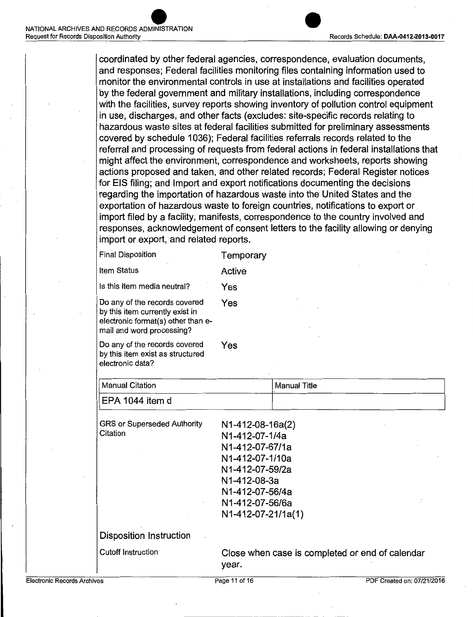coordinated by other federal agencies, correspondence, evaluation documents, and responses; Federal facilities monitoring files containing information used to monitor the environmental controls in use at installations and facilities operated by the federal government and military installations, including correspondence with the facilities, survey reports showing inventory of pollution control equipment in use, discharges, and other facts (excludes: site-speeific records relating to hazardous waste sites at federal facilities submitted for preliminary assessments covered by schedule 1036); Federal facilities referrals records related to the referral and processing of requests from federal actions in federal installations that might affect the environment, correspondence and worksheets, reports showing actions proposed and taken, and other related records; Federal Register notices for EIS filing; and Import and export notifications documenting the decisions regarding the importation of hazardous waste into the United States and the exportation of hazardous waste to foreign countries, notifications to export or import filed by a facility, manifests, correspondence to the country involved and responses, acknowledgement of consent letters to the facility allowing or denying import or export, and related reports.

| <b>Final Disposition</b>                                                                                                            | Temporary |
|-------------------------------------------------------------------------------------------------------------------------------------|-----------|
| <b>Item Status</b>                                                                                                                  | Active    |
| Is this item media neutral?                                                                                                         | Yes       |
| Do any of the records covered<br>by this item currently exist in<br>electronic format(s) other than e-<br>mail and word processing? | Yes       |
| Do any of the records covered<br>by this item exist as structured<br>electronic data?                                               | Yes       |
| 14.117117                                                                                                                           |           |

| <b>Manual Citation</b> | <b>Manual Title</b> |
|------------------------|---------------------|
| EPA 1044 item d        |                     |

| <b>GRS or Superseded Authority</b><br>Citation | N1-412-08-16a(2)<br>N1-412-07-1/4a<br>N1-412-07-67/1a<br>N1-412-07-1/10a<br>N1-412-07-59/2a<br>N1-412-08-3a<br>N1-412-07-56/4a<br>N1-412-07-56/6a<br>N1-412-07-21/1a(1) |
|------------------------------------------------|-------------------------------------------------------------------------------------------------------------------------------------------------------------------------|
| Disposition Instruction                        |                                                                                                                                                                         |
|                                                |                                                                                                                                                                         |
| <b>Cutoff Instruction</b>                      | Close when case is completed or end of calendar<br>vear.                                                                                                                |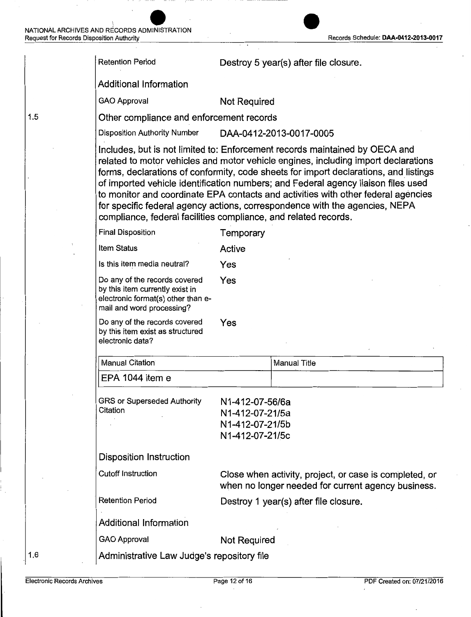|     | <b>Retention Period</b>                                                                                                             |                                                                          | Destroy 5 year(s) after file closure.                                                                                                                                                                                                                                                                                                                                                                                                                                                                              |
|-----|-------------------------------------------------------------------------------------------------------------------------------------|--------------------------------------------------------------------------|--------------------------------------------------------------------------------------------------------------------------------------------------------------------------------------------------------------------------------------------------------------------------------------------------------------------------------------------------------------------------------------------------------------------------------------------------------------------------------------------------------------------|
|     | <b>Additional Information</b>                                                                                                       |                                                                          |                                                                                                                                                                                                                                                                                                                                                                                                                                                                                                                    |
|     | <b>GAO Approval</b>                                                                                                                 | <b>Not Required</b>                                                      |                                                                                                                                                                                                                                                                                                                                                                                                                                                                                                                    |
| 1.5 | Other compliance and enforcement records                                                                                            |                                                                          |                                                                                                                                                                                                                                                                                                                                                                                                                                                                                                                    |
|     | <b>Disposition Authority Number</b>                                                                                                 |                                                                          | DAA-0412-2013-0017-0005                                                                                                                                                                                                                                                                                                                                                                                                                                                                                            |
|     | compliance, federal facilities compliance, and related records.                                                                     |                                                                          | Includes, but is not limited to: Enforcement records maintained by OECA and<br>related to motor vehicles and motor vehicle engines, including import declarations<br>forms, declarations of conformity, code sheets for import declarations, and listings<br>of imported vehicle identification numbers; and Federal agency liaison files used<br>to monitor and coordinate EPA contacts and activities with other federal agencies<br>for specific federal agency actions, correspondence with the agencies, NEPA |
|     | <b>Final Disposition</b>                                                                                                            | Temporary                                                                |                                                                                                                                                                                                                                                                                                                                                                                                                                                                                                                    |
|     | <b>Item Status</b>                                                                                                                  | Active                                                                   |                                                                                                                                                                                                                                                                                                                                                                                                                                                                                                                    |
|     | Is this item media neutral?                                                                                                         | Yes                                                                      |                                                                                                                                                                                                                                                                                                                                                                                                                                                                                                                    |
|     | Do any of the records covered<br>by this item currently exist in<br>electronic format(s) other than e-<br>mail and word processing? | Yes                                                                      |                                                                                                                                                                                                                                                                                                                                                                                                                                                                                                                    |
|     | Do any of the records covered<br>by this item exist as structured<br>electronic data?                                               | Yes                                                                      |                                                                                                                                                                                                                                                                                                                                                                                                                                                                                                                    |
|     | Manual Citation                                                                                                                     |                                                                          | <b>Manual Title</b>                                                                                                                                                                                                                                                                                                                                                                                                                                                                                                |
|     | EPA 1044 item e                                                                                                                     |                                                                          |                                                                                                                                                                                                                                                                                                                                                                                                                                                                                                                    |
|     | <b>GRS or Superseded Authority</b><br>Citation                                                                                      | N1-412-07-56/6a<br>N1-412-07-21/5a<br>N1-412-07-21/5b<br>N1-412-07-21/5c |                                                                                                                                                                                                                                                                                                                                                                                                                                                                                                                    |
|     | <b>Disposition Instruction</b>                                                                                                      |                                                                          |                                                                                                                                                                                                                                                                                                                                                                                                                                                                                                                    |
|     | <b>Cutoff Instruction</b>                                                                                                           |                                                                          | Close when activity, project, or case is completed, or<br>when no longer needed for current agency business.                                                                                                                                                                                                                                                                                                                                                                                                       |
|     | <b>Retention Period</b>                                                                                                             |                                                                          | Destroy 1 year(s) after file closure.                                                                                                                                                                                                                                                                                                                                                                                                                                                                              |
|     | <b>Additional Information</b>                                                                                                       |                                                                          |                                                                                                                                                                                                                                                                                                                                                                                                                                                                                                                    |
|     | <b>GAO Approval</b>                                                                                                                 | <b>Not Required</b>                                                      |                                                                                                                                                                                                                                                                                                                                                                                                                                                                                                                    |
| 1.6 | Administrative Law Judge's repository file                                                                                          |                                                                          |                                                                                                                                                                                                                                                                                                                                                                                                                                                                                                                    |
|     |                                                                                                                                     |                                                                          |                                                                                                                                                                                                                                                                                                                                                                                                                                                                                                                    |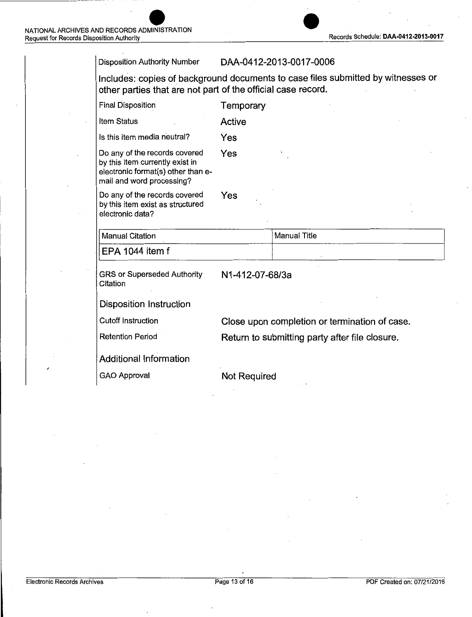| <b>Disposition Authority Number</b>                                                                                                              |                     | DAA-0412-2013-0017-0006                        |  |
|--------------------------------------------------------------------------------------------------------------------------------------------------|---------------------|------------------------------------------------|--|
| Includes: copies of background documents to case files submitted by witnesses or<br>other parties that are not part of the official case record. |                     |                                                |  |
| <b>Final Disposition</b>                                                                                                                         | Temporary           |                                                |  |
| Item Status                                                                                                                                      | Active              |                                                |  |
| Is this item media neutral?                                                                                                                      | Yes                 |                                                |  |
| Do any of the records covered<br>by this item currently exist in<br>electronic format(s) other than e-<br>mail and word processing?              | Yes                 |                                                |  |
| Do any of the records covered<br>by this item exist as structured<br>electronic data?                                                            | Yes                 |                                                |  |
| <b>Manual Citation</b>                                                                                                                           |                     | <b>Manual Title</b>                            |  |
| EPA 1044 item f                                                                                                                                  |                     |                                                |  |
| <b>GRS or Superseded Authority</b><br>Citation                                                                                                   | N1-412-07-68/3a     |                                                |  |
| <b>Disposition Instruction</b>                                                                                                                   |                     |                                                |  |
| <b>Cutoff Instruction</b>                                                                                                                        |                     | Close upon completion or termination of case.  |  |
| <b>Retention Period</b>                                                                                                                          |                     | Return to submitting party after file closure. |  |
| <b>Additional Information</b>                                                                                                                    |                     |                                                |  |
| <b>GAO Approval</b>                                                                                                                              | <b>Not Required</b> |                                                |  |
|                                                                                                                                                  |                     |                                                |  |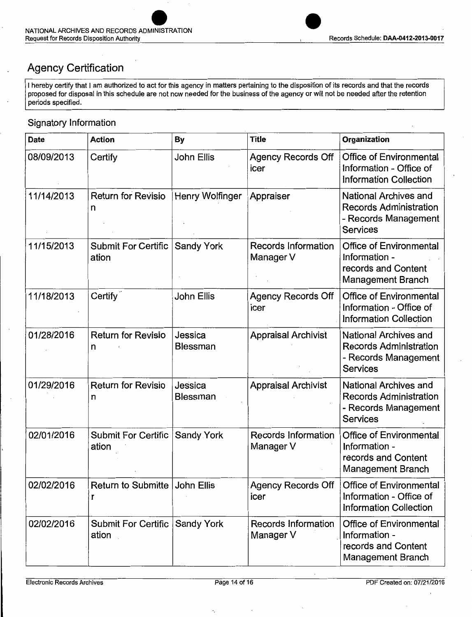### Agency Certification

I hereby certify that I am authorized to act for this agency in matters pertaining to the disposition of its records and that the records proposed for disposal in this schedule are not now needed for the business of the agency or will not be needed after the retention periods specified.

### Signatory Information

| <b>Date</b> | <b>Action</b>                        | <b>By</b>              | <b>Title</b>                            | Organization                                                                                             |
|-------------|--------------------------------------|------------------------|-----------------------------------------|----------------------------------------------------------------------------------------------------------|
| 08/09/2013  | Certify                              | John Ellis             | <b>Agency Records Off</b><br>icer       | <b>Office of Environmental</b><br>Information - Office of<br><b>Information Collection</b>               |
| 11/14/2013  | <b>Return for Revisio</b><br>n       | <b>Henry Wolfinger</b> | Appraiser                               | <b>National Archives and</b><br><b>Records Administration</b><br>- Records Management<br><b>Services</b> |
| 11/15/2013  | <b>Submit For Certific</b><br>ation  | <b>Sandy York</b>      | <b>Records Information</b><br>Manager V | Office of Environmental<br>Information -<br>records and Content<br><b>Management Branch</b>              |
| 11/18/2013  | Certify <sup>®</sup>                 | John Ellis             | <b>Agency Records Off</b><br>icer       | <b>Office of Environmental</b><br>Information - Office of<br><b>Information Collection</b>               |
| 01/28/2016  | <b>Return for Revisio</b><br>n       | Jessica<br>Blessman    | <b>Appraisal Archivist</b>              | <b>National Archives and</b><br><b>Records Administration</b><br>- Records Management<br><b>Services</b> |
| 01/29/2016  | <b>Return for Revisio</b><br>n       | Jessica<br>Blessman    | <b>Appraisal Archivist</b>              | National Archives and<br><b>Records Administration</b><br>- Records Management<br><b>Services</b>        |
| 02/01/2016  | <b>Submit For Certific</b><br>ation  | Sandy York             | Records Information<br>Manager V        | <b>Office of Environmental</b><br>Information -<br>records and Content<br><b>Management Branch</b>       |
| 02/02/2016  | Return to Submitte   John Ellis<br>r |                        | <b>Agency Records Off</b><br>icer       | <b>Office of Environmental</b><br>Information - Office of<br><b>Information Collection</b>               |
| 02/02/2016  | Submit For Certific<br>ation         | <b>Sandy York</b>      | <b>Records Information</b><br>Manager V | <b>Office of Environmental</b><br>Information -<br>records and Content<br><b>Management Branch</b>       |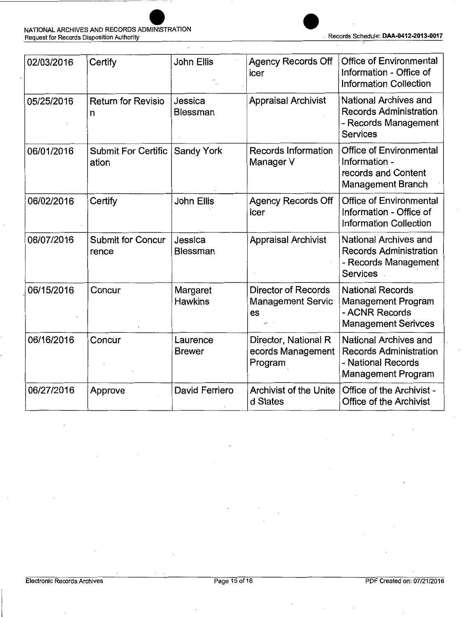

| 02/03/2016 | Certify                             | John Ellis                 | <b>Agency Records Off</b><br>icer                            | <b>Office of Environmental</b><br>Information - Office of<br><b>Information Collection</b>                |
|------------|-------------------------------------|----------------------------|--------------------------------------------------------------|-----------------------------------------------------------------------------------------------------------|
| 05/25/2016 | <b>Return for Revisio</b><br>n      | Jessica<br><b>Blessman</b> | <b>Appraisal Archivist</b>                                   | <b>National Archives and</b><br><b>Records Administration</b><br>- Records Management<br><b>Services</b>  |
| 06/01/2016 | <b>Submit For Certific</b><br>ation | <b>Sandy York</b>          | <b>Records Information</b><br>Manager V                      | <b>Office of Environmental</b><br>Information -<br>records and Content<br><b>Management Branch</b>        |
| 06/02/2016 | Certify                             | <b>John Ellis</b>          | <b>Agency Records Off</b><br>icer                            | <b>Office of Environmental</b><br>Information - Office of<br><b>Information Collection</b>                |
| 06/07/2016 | <b>Submit for Concur</b><br>rence   | Jessica<br>Blessman        | <b>Appraisal Archivist</b>                                   | National Archives and<br><b>Records Administration</b><br>- Records Management<br><b>Services</b>         |
| 06/15/2016 | Concur                              | Margaret<br><b>Hawkins</b> | <b>Director of Records</b><br><b>Management Servic</b><br>es | <b>National Records</b><br>Management Program<br>- ACNR Records<br><b>Management Serivces</b>             |
| 06/16/2016 | Concur                              | Laurence<br><b>Brewer</b>  | Director, National R<br>ecords Management<br>Program         | National Archives and<br><b>Records Administration</b><br>- National Records<br><b>Management Program</b> |
| 06/27/2016 | Approve                             | David Ferriero             | <b>Archivist of the Unite</b><br>d States                    | Office of the Archivist -<br><b>Office of the Archivist</b>                                               |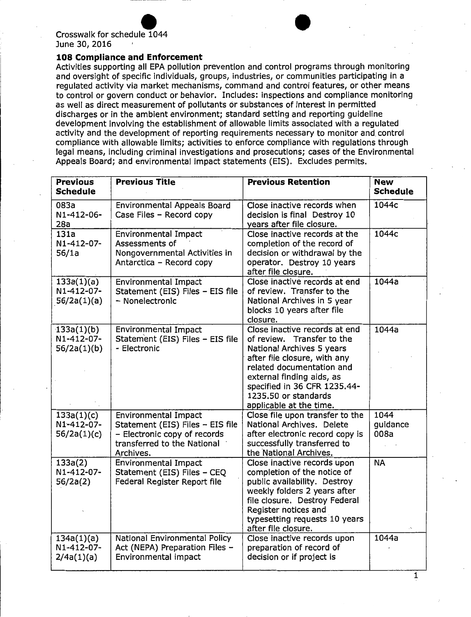# June 30, 2016 Crosswalk for schedule 1044 for schedule  $1044$ <br> $016$ <br> $\ldots$

#### **108 Compliance and Enforcement**

Activities supporting all EPA pollution prevention and control programs through monitoring and oversight of specific individuals, groups, industries, or communities participating in a regulated activity via market mechanisms, command and control features, or other means to control or govern conduct or behavior. Includes: inspections and compliance monitoring as well as direct measurement of pollutants or substances of interest in permitted discharges or in the ambient environment; standard setting and reporting guideline development involving the establishment of allowable limits associated with a regulated activity and the development of reporting requirements necessary to monitor and. control compliance with allowable limits; activities to enforce compliance with regulations through legal means, including criminal investigations and prosecutions; cases of the Environmental Appeals Board; and environmental impact statements (EIS). Excludes permits.

| <b>Previous</b><br><b>Schedule</b>      | <b>Previous Title</b>                                                                                                                       | <b>Previous Retention</b>                                                                                                                                                                                                                                             | <b>New</b><br><b>Schedule</b> |
|-----------------------------------------|---------------------------------------------------------------------------------------------------------------------------------------------|-----------------------------------------------------------------------------------------------------------------------------------------------------------------------------------------------------------------------------------------------------------------------|-------------------------------|
| 083a<br>N1-412-06-<br>28a               | <b>Environmental Appeals Board</b><br>Case Files - Record copy                                                                              | Close inactive records when<br>decision is final Destroy 10<br>years after file closure.                                                                                                                                                                              | 1044c                         |
| 131a<br>N1-412-07-<br>56/1a             | <b>Environmental Impact</b><br>Assessments of<br>Nongovernmental Activities in<br>Antarctica - Record copy                                  | Close inactive records at the<br>completion of the record of<br>decision or withdrawal by the<br>operator. Destroy 10 years<br>after file closure.                                                                                                                    | 1044c                         |
| 133a(1)(a)<br>N1-412-07-<br>56/2a(1)(a) | <b>Environmental Impact</b><br>Statement (EIS) Files - EIS file<br>- Nonelectronic                                                          | Close inactive records at end<br>of review. Transfer to the<br>National Archives in 5 year<br>blocks 10 years after file<br>closure.                                                                                                                                  | 1044a                         |
| 133a(1)(b)<br>N1-412-07-<br>56/2a(1)(b) | <b>Environmental Impact</b><br>Statement (EIS) Files - EIS file<br>- Electronic                                                             | Close inactive records at end<br>of review. Transfer to the<br>National Archives 5 years<br>after file closure, with any<br>related documentation and<br>external finding aids, as<br>specified in 36 CFR 1235.44-<br>1235.50 or standards<br>applicable at the time. | 1044a                         |
| 133a(1)(c)<br>N1-412-07-<br>56/2a(1)(c) | <b>Environmental Impact</b><br>Statement (EIS) Files - EIS file<br>- Electronic copy of records<br>transferred to the National<br>Archives. | Close file upon transfer to the<br>National Archives. Delete<br>after electronic record copy is<br>successfully transferred to<br>the National Archives.                                                                                                              | 1044<br>guidance<br>008a      |
| 133a(2)<br>N1-412-07-<br>56/2a(2)       | <b>Environmental Impact</b><br>Statement (EIS) Files - CEQ<br>Federal Register Report file                                                  | Close inactive records upon<br>completion of the notice of<br>public availability. Destroy<br>weekly folders 2 years after<br>file closure. Destroy Federal<br>Register notices and<br>typesetting requests 10 years<br>after file closure.                           | <b>NA</b>                     |
| 134a(1)(a)<br>N1-412-07-<br>2/4a(1)(a)  | National Environmental Policy<br>Act (NEPA) Preparation Files -<br>Environmental impact                                                     | Close inactive records upon<br>preparation of record of<br>decision or if project is                                                                                                                                                                                  | 1044a                         |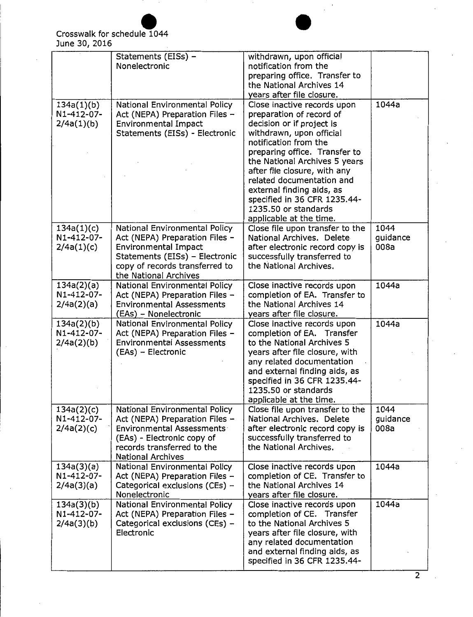

|                                        | Statements (EISs) -<br>Nonelectronic                                                                                                                                                        | withdrawn, upon official<br>notification from the<br>preparing office. Transfer to<br>the National Archives 14<br>years after file closure.                                                                                                                                                                                                                                              |                          |
|----------------------------------------|---------------------------------------------------------------------------------------------------------------------------------------------------------------------------------------------|------------------------------------------------------------------------------------------------------------------------------------------------------------------------------------------------------------------------------------------------------------------------------------------------------------------------------------------------------------------------------------------|--------------------------|
| 134a(1)(b)<br>N1-412-07-<br>2/4a(1)(b) | National Environmental Policy<br>Act (NEPA) Preparation Files -<br><b>Environmental Impact</b><br>Statements (EISs) - Electronic                                                            | Close inactive records upon<br>preparation of record of<br>decision or if project is<br>withdrawn, upon official<br>notification from the<br>preparing office. Transfer to<br>the National Archives 5 years<br>after file closure, with any<br>related documentation and<br>external finding aids, as<br>specified in 36 CFR 1235.44-<br>1235.50 or standards<br>applicable at the time. | 1044a                    |
| 134a(1)(c)<br>N1-412-07-<br>2/4a(1)(c) | National Environmental Policy<br>Act (NEPA) Preparation Files -<br><b>Environmental Impact</b><br>Statements (EISs) - Electronic<br>copy of records transferred to<br>the National Archives | Close file upon transfer to the<br>National Archives. Delete<br>after electronic record copy is<br>successfully transferred to<br>the National Archives.                                                                                                                                                                                                                                 | 1044<br>guidance<br>008a |
| 134a(2)(a)<br>N1-412-07-<br>2/4a(2)(a) | National Environmental Policy<br>Act (NEPA) Preparation Files -<br><b>Environmental Assessments</b><br>(EAs) - Nonelectronic                                                                | Close inactive records upon<br>completion of EA. Transfer to<br>the National Archives 14<br>years after file closure.                                                                                                                                                                                                                                                                    | 1044a                    |
| 134a(2)(b)<br>N1-412-07-<br>2/4a(2)(b) | <b>National Environmental Policy</b><br>Act (NEPA) Preparation Files -<br><b>Environmental Assessments</b><br>(EAs) - Electronic                                                            | Close inactive records upon<br>completion of EA. Transfer<br>to the National Archives 5<br>years after file closure, with<br>any related documentation<br>and external finding aids, as<br>specified in 36 CFR 1235.44-<br>1235.50 or standards<br>applicable at the time.                                                                                                               | 1044a                    |
| 134a(2)(c)<br>N1-412-07-<br>2/4a(2)(c) | National Environmental Policy<br>Act (NEPA) Preparation Files -<br><b>Environmental Assessments</b><br>(EAs) - Electronic copy of<br>records transferred to the<br><b>National Archives</b> | Close file upon transfer to the<br>National Archives. Delete<br>after electronic record copy is<br>successfully transferred to<br>the National Archives.                                                                                                                                                                                                                                 | 1044<br>quidance<br>008a |
| 134a(3)(a)<br>N1-412-07-<br>2/4a(3)(a) | National Environmental Policy<br>Act (NEPA) Preparation Files -<br>Categorical exclusions (CEs) -<br>Nonelectronic                                                                          | Close inactive records upon<br>completion of CE. Transfer to<br>the National Archives 14<br>years after file closure.                                                                                                                                                                                                                                                                    | 1044a                    |
| 134a(3)(b)<br>N1-412-07-<br>2/4a(3)(b) | National Environmental Policy<br>Act (NEPA) Preparation Files -<br>Categorical exclusions (CEs) -<br>Electronic                                                                             | Close inactive records upon<br>completion of CE. Transfer<br>to the National Archives 5<br>years after file closure, with<br>any related documentation<br>and external finding aids, as<br>specified in 36 CFR 1235.44-                                                                                                                                                                  | 1044a                    |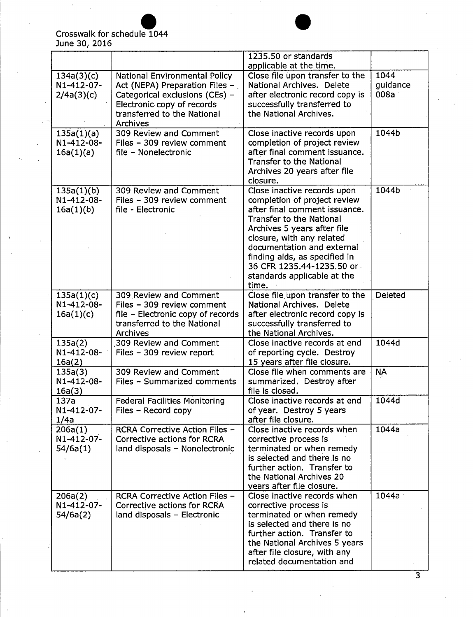# June Crosswalk walk for schedule 1044<br>30, 2016

|                          |                                      | 1235.50 or standards<br>applicable at the time.           |           |
|--------------------------|--------------------------------------|-----------------------------------------------------------|-----------|
|                          |                                      |                                                           | 1044      |
| 134a(3)(c)               | <b>National Environmental Policy</b> | Close file upon transfer to the                           |           |
| N1-412-07-               | Act (NEPA) Preparation Files -       | National Archives. Delete                                 | guidance  |
| 2/4a(3)(c)               | Categorical exclusions (CEs) -       | after electronic record copy is                           | 008a      |
|                          | Electronic copy of records           | successfully transferred to                               |           |
|                          | transferred to the National          | the National Archives.                                    |           |
|                          | Archives                             |                                                           |           |
| 135a(1)(a)               | 309 Review and Comment               | Close inactive records upon                               | 1044b     |
| N1-412-08-               | Files - 309 review comment           | completion of project review                              |           |
| 16a(1)(a)                | file - Nonelectronic                 | after final comment issuance.                             |           |
|                          |                                      | <b>Transfer to the National</b>                           |           |
|                          |                                      | Archives 20 years after file                              |           |
|                          |                                      | closure.                                                  |           |
|                          | 309 Review and Comment               | Close inactive records upon                               | 1044b     |
| 135a(1)(b)<br>N1-412-08- |                                      |                                                           |           |
|                          | Files - 309 review comment           | completion of project review                              |           |
| 16a(1)(b)                | file - Electronic                    | after final comment issuance.                             |           |
|                          |                                      | <b>Transfer to the National</b>                           |           |
|                          |                                      | Archives 5 years after file                               |           |
|                          |                                      | closure, with any related                                 |           |
|                          |                                      | documentation and external                                |           |
|                          |                                      | finding aids, as specified in                             |           |
|                          |                                      | 36 CFR 1235.44-1235.50 or                                 |           |
|                          |                                      | standards applicable at the                               |           |
|                          |                                      | time.                                                     |           |
| 135a(1)(c)               | 309 Review and Comment               | Close file upon transfer to the                           | Deleted   |
| N1-412-08-               | Files - 309 review comment           | National Archives. Delete                                 |           |
| 16a(1)(c)                | file - Electronic copy of records    | after electronic record copy is                           |           |
|                          | transferred to the National          | successfully transferred to                               |           |
|                          | Archives                             | the National Archives.                                    |           |
| 135a(2)                  | 309 Review and Comment               | Close inactive records at end                             | 1044d     |
| N1-412-08-               | Files - 309 review report            | of reporting cycle. Destroy                               |           |
| 16a(2)                   |                                      | 15 years after file closure.                              |           |
| 135a(3)                  | 309 Review and Comment               | Close file when comments are                              | <b>NA</b> |
| N1-412-08-               | Files - Summarized comments          | summarized. Destroy after                                 |           |
| 16a(3)                   |                                      | file is closed.                                           |           |
| 137a                     | <b>Federal Facilities Monitoring</b> | Close inactive records at end                             | 1044d     |
| N1-412-07-               | Files $-$ Record copy                | of year. Destroy 5 years                                  |           |
| 1/4a                     |                                      | after file closure.                                       |           |
| 206a(1)                  | RCRA Corrective Action Files -       | Close inactive records when                               | 1044a     |
| N1-412-07-               | Corrective actions for RCRA          | corrective process is                                     |           |
| 54/6a(1)                 | land disposals - Nonelectronic       | terminated or when remedy                                 |           |
|                          |                                      | is selected and there is no                               |           |
|                          |                                      |                                                           |           |
|                          |                                      | further action. Transfer to                               |           |
|                          |                                      | the National Archives 20                                  |           |
|                          |                                      | years after file closure.                                 |           |
| 206a(2)                  | RCRA Corrective Action Files -       | Close inactive records when                               | 1044a     |
| N1-412-07-               | Corrective actions for RCRA          | corrective process is                                     |           |
| 54/6a(2)                 | land disposals - Electronic          | terminated or when remedy                                 |           |
|                          |                                      | is selected and there is no                               |           |
|                          |                                      |                                                           |           |
|                          |                                      | further action. Transfer to                               |           |
|                          |                                      | the National Archives 5 years                             |           |
|                          |                                      | after file closure, with any<br>related documentation and |           |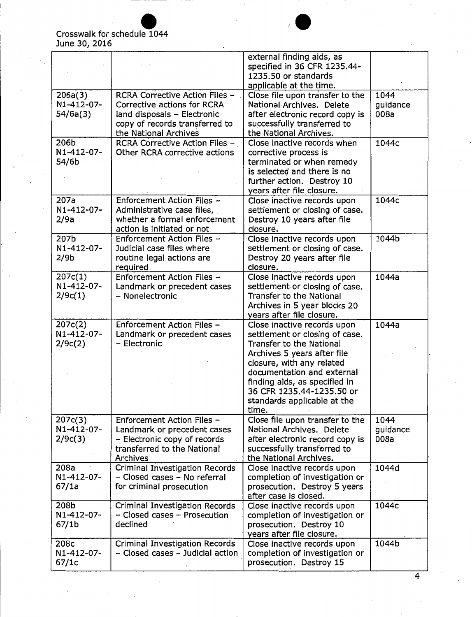## Crosswalk for schedule 10 1044 June 30, 2016

|                                         |                                                                                                                                                         | external finding aids, as<br>specified in 36 CFR 1235.44-<br>1235.50 or standards<br>applicable at the time.                                                                                                                                                                                     |                          |
|-----------------------------------------|---------------------------------------------------------------------------------------------------------------------------------------------------------|--------------------------------------------------------------------------------------------------------------------------------------------------------------------------------------------------------------------------------------------------------------------------------------------------|--------------------------|
| 206a(3)<br>N1-412-07-<br>54/6a(3)       | RCRA Corrective Action Files -<br>Corrective actions for RCRA<br>land disposals - Electronic<br>copy of records transferred to<br>the National Archives | Close file upon transfer to the<br>National Archives. Delete<br>after electronic record copy is<br>successfully transferred to<br>the National Archives.                                                                                                                                         | 1044<br>guidance<br>008a |
| 206b<br>N1-412-07-<br>54/6b             | RCRA Corrective Action Files -<br>Other RCRA corrective actions                                                                                         | Close inactive records when<br>corrective process is<br>terminated or when remedy<br>is selected and there is no<br>further action. Destroy 10<br>years after file closure.                                                                                                                      | 1044c                    |
| 207a<br>N1-412-07-<br>2/9a              | Enforcement Action Files ~<br>Administrative case files,<br>whether a formal enforcement<br>action is initiated or not                                  | Close inactive records upon<br>settlement or closing of case.<br>Destroy 10 years after file<br>closure.                                                                                                                                                                                         | 1044c                    |
| 207b<br>N1-412-07-<br>2/9b              | Enforcement Action Files -<br>Judicial case files where<br>routine legal actions are<br>required                                                        | Close inactive records upon<br>settlement or closing of case.<br>Destroy 20 years after file<br>closure.                                                                                                                                                                                         | 1044b                    |
| 207c(1)<br>N1-412-07-<br>2/9c(1)        | Enforcement Action Files -<br>Landmark or precedent cases<br>- Nonelectronic                                                                            | Close inactive records upon<br>settlement or closing of case.<br><b>Transfer to the National</b><br>Archives in 5 year blocks 20<br>years after file closure.                                                                                                                                    | 1044a                    |
| 207c(2)<br>N1-412-07-<br>2/9c(2)        | Enforcement Action Files -<br>Landmark or precedent cases<br>- Electronic                                                                               | Close inactive records upon<br>settlement or closing of case.<br><b>Transfer to the National</b><br>Archives 5 years after file<br>closure, with any related<br>documentation and external<br>finding aids, as specified in<br>36 CFR 1235.44-1235.50 or<br>standards applicable at the<br>time. | 1044a                    |
| 207c(3)<br>N1-412-07-<br>2/9c(3)        | Enforcement Action Files -<br>Landmark or precedent cases<br>- Electronic copy of records<br>transferred to the National<br><b>Archives</b>             | Close file upon transfer to the<br>National Archives. Delete<br>after electronic record copy is<br>successfully transferred to<br>the National Archives.                                                                                                                                         | 1044<br>guidance<br>008a |
| 208a<br>N1-412-07-<br>67/1a             | Criminal Investigation Records<br>- Closed cases - No referral<br>for criminal prosecution                                                              | Close inactive records upon<br>completion of investigation or<br>prosecution. Destroy 5 years<br>after case is closed.                                                                                                                                                                           | 1044d                    |
| 208b<br>N1-412-07-<br>67/1 <sub>b</sub> | <b>Criminal Investigation Records</b><br>- Closed cases - Prosecution<br>declined                                                                       | Close inactive records upon<br>completion of investigation or<br>prosecution. Destroy 10<br>years after file closure.                                                                                                                                                                            | 1044c                    |
| 208c<br>N1-412-07-<br>67/1c             | Criminal Investigation Records<br>- Closed cases - Judicial action                                                                                      | Close inactive records upon<br>completion of investigation or<br>prosecution. Destroy 15                                                                                                                                                                                                         | 1044b                    |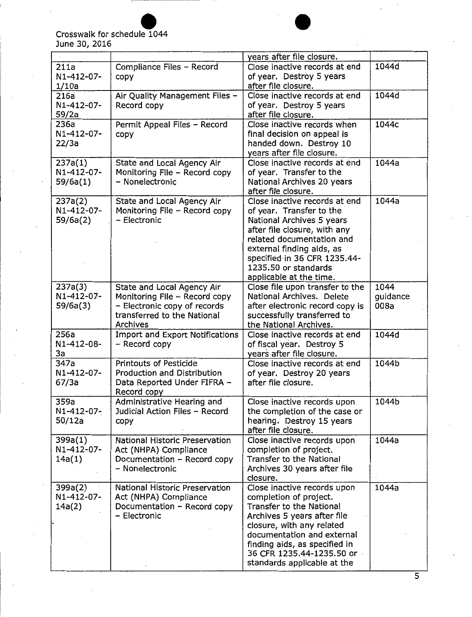#### June 30, 2016 Crosswalk for schedule 1044



| June 30, 2016                     | Crosswalk for schedule 1044                                                                                                            |                                                                                                                                                                                                                                                                          |                          |
|-----------------------------------|----------------------------------------------------------------------------------------------------------------------------------------|--------------------------------------------------------------------------------------------------------------------------------------------------------------------------------------------------------------------------------------------------------------------------|--------------------------|
|                                   |                                                                                                                                        | years after file closure.                                                                                                                                                                                                                                                |                          |
| 211a<br>N1-412-07-<br>1/10a       | Compliance Files - Record<br>copy                                                                                                      | Close inactive records at end<br>of year. Destroy 5 years<br>after file closure.                                                                                                                                                                                         | 1044d                    |
| 216a<br>N1-412-07-<br>59/2a       | Air Quality Management Files -<br>Record copy                                                                                          | Close inactive records at end<br>of year. Destroy 5 years<br>after file closure.                                                                                                                                                                                         | 1044d                    |
| 236a<br>N1-412-07-<br>22/3a       | Permit Appeal Files - Record<br>copy                                                                                                   | Close inactive records when<br>final decision on appeal is<br>handed down. Destroy 10<br>vears after file closure.                                                                                                                                                       | 1044c                    |
| 237a(1)<br>N1-412-07-<br>59/6a(1) | State and Local Agency Air<br>Monitoring File - Record copy<br>- Nonelectronic                                                         | Close inactive records at end<br>of year. Transfer to the<br>National Archives 20 years<br>after file closure.                                                                                                                                                           | 1044a                    |
| 237a(2)<br>N1-412-07-<br>59/6a(2) | State and Local Agency Air<br>Monitoring File - Record copy<br>- Electronic                                                            | Close inactive records at end<br>of year. Transfer to the<br>National Archives 5 years<br>after file closure, with any<br>related documentation and<br>external finding aids, as<br>specified in 36 CFR 1235.44-<br>1235.50 or standards<br>applicable at the time.      | 1044a                    |
| 237a(3)<br>N1-412-07-<br>59/6a(3) | State and Local Agency Air<br>Monitoring File - Record copy<br>- Electronic copy of records<br>transferred to the National<br>Archives | Close file upon transfer to the<br>National Archives. Delete<br>after electronic record copy is<br>successfully transferred to<br>the National Archives.                                                                                                                 | 1044<br>guidance<br>008a |
| 256a<br>N1-412-08-<br>3a          | <b>Import and Export Notifications</b><br>- Record copy                                                                                | Close inactive records at end<br>of fiscal year. Destroy 5<br>years after file closure.                                                                                                                                                                                  | 1044d                    |
| 347a<br>N1-412-07-<br>67/3a       | Printouts of Pesticide<br>Production and Distribution<br>Data Reported Under FIFRA -<br>Record copy                                    | Close inactive records at end<br>of year. Destroy 20 years<br>after file closure.                                                                                                                                                                                        | 1044b                    |
| 359a<br>N1-412-07-<br>50/12a      | Administrative Hearing and<br>Judicial Action Files - Record<br>copy                                                                   | Close inactive records upon<br>the completion of the case or<br>hearing. Destroy 15 years<br>after file closure.                                                                                                                                                         | 1044b                    |
| 399a(1)<br>N1-412-07-<br>14a(1)   | National Historic Preservation<br>Act (NHPA) Compliance<br>Documentation - Record copy<br>- Nonelectronic                              | Close inactive records upon<br>completion of project.<br><b>Transfer to the National</b><br>Archives 30 years after file<br>closure.                                                                                                                                     | 1044a                    |
| 399a(2)<br>N1-412-07-<br>14a(2)   | National Historic Preservation<br>Act (NHPA) Compliance<br>Documentation - Record copy<br>- Electronic                                 | Close inactive records upon<br>completion of project.<br>Transfer to the National<br>Archives 5 years after file<br>closure, with any related<br>documentation and external<br>finding aids, as specified in<br>36 CFR 1235.44-1235.50 or<br>standards applicable at the | 1044a                    |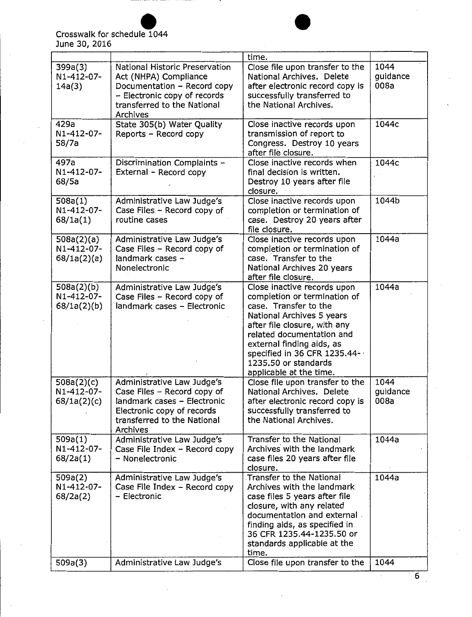

|                                         |                                                                                                                                                                   | time.                                                                                                                                                                                                                                                                                          |                          |
|-----------------------------------------|-------------------------------------------------------------------------------------------------------------------------------------------------------------------|------------------------------------------------------------------------------------------------------------------------------------------------------------------------------------------------------------------------------------------------------------------------------------------------|--------------------------|
| 399a(3)<br>N1-412-07-<br>14a(3)         | National Historic Preservation<br>Act (NHPA) Compliance<br>Documentation - Record copy<br>- Electronic copy of records<br>transferred to the National<br>Archives | Close file upon transfer to the<br>National Archives. Delete<br>after electronic record copy is<br>successfully transferred to<br>the National Archives.                                                                                                                                       | 1044<br>guidance<br>008a |
| 429a<br>N1-412-07-<br>58/7a             | State 305(b) Water Quality<br>Reports - Record copy                                                                                                               | Close inactive records upon<br>transmission of report to<br>Congress. Destroy 10 years<br>after file closure.                                                                                                                                                                                  | 1044c                    |
| 497a<br>N1-412-07-<br>68/5a             | Discrimination Complaints -<br>External - Record copy                                                                                                             | Close inactive records when<br>final decision is written.<br>Destroy 10 years after file<br>closure.                                                                                                                                                                                           | 1044c                    |
| 508a(1)<br>N1-412-07-<br>68/1a(1)       | Administrative Law Judge's<br>Case Files - Record copy of<br>routine cases                                                                                        | Close inactive records upon<br>completion or termination of<br>case. Destroy 20 years after<br>file closure.                                                                                                                                                                                   | 1044b                    |
| 508a(2)(a)<br>N1-412-07-<br>68/1a(2)(a) | Administrative Law Judge's<br>Case Files - Record copy of<br>landmark cases -<br>Nonelectronic                                                                    | Close inactive records upon<br>completion or termination of<br>case. Transfer to the<br>National Archives 20 years<br>after file closure.                                                                                                                                                      | 1044a                    |
| 508a(2)(b)<br>N1-412-07-<br>68/1a(2)(b) | Administrative Law Judge's<br>Case Files - Record copy of<br>landmark cases - Electronic                                                                          | Close inactive records upon<br>completion or termination of<br>case. Transfer to the<br>National Archives 5 years<br>after file closure, with any<br>related documentation and<br>external finding aids, as<br>specified in 36 CFR 1235.44-<br>1235.50 or standards<br>applicable at the time. | 1044a                    |
| 508a(2)(c)<br>N1-412-07-<br>68/1a(2)(c) | Administrative Law Judge's<br>Case Files - Record copy of<br>landmark cases - Electronic<br>Electronic copy of records<br>transferred to the National<br>Archives | Close file upon transfer to the<br>National Archives. Delete<br>after electronic record copy is<br>successfully transferred to<br>the National Archives.                                                                                                                                       | 1044<br>guidance<br>008a |
| 509a(1)<br>N1-412-07-<br>68/2a(1)       | Administrative Law Judge's<br>Case File Index - Record copy<br>- Nonelectronic                                                                                    | Transfer to the National<br>Archives with the landmark<br>case files 20 years after file<br>closure.                                                                                                                                                                                           | 1044a                    |
| 509a(2)<br>N1-412-07-<br>68/2a(2)       | Administrative Law Judge's<br>Case File Index - Record copy<br>- Electronic                                                                                       | <b>Transfer to the National</b><br>Archives with the landmark<br>case files 5 years after file<br>closure, with any related<br>documentation and external.<br>finding aids, as specified in<br>36 CFR 1235.44-1235.50 or<br>standards applicable at the<br>time.                               | 1044a                    |
| 509a(3)                                 | Administrative Law Judge's                                                                                                                                        | Close file upon transfer to the                                                                                                                                                                                                                                                                | 1044                     |

 $\overline{6}$ 

 $\cdot$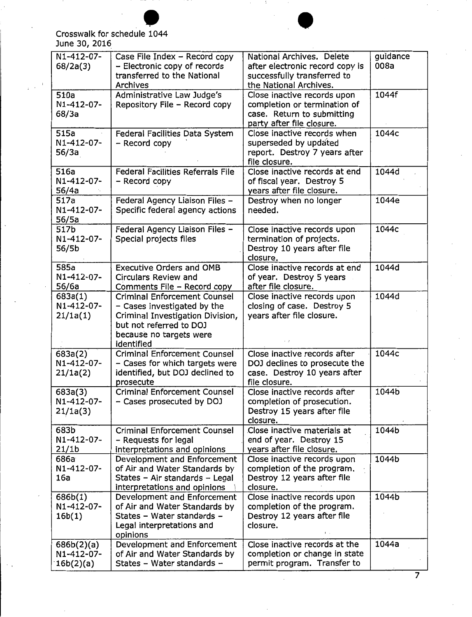

#### June 30, 2016 Crosswalk for schedule 1044

| June 30, 2016                           | Crosswalk for schedule 1044                                                                                                                                                |                                                                                                                        |                  |
|-----------------------------------------|----------------------------------------------------------------------------------------------------------------------------------------------------------------------------|------------------------------------------------------------------------------------------------------------------------|------------------|
| N1-412-07-<br>68/2a(3)                  | Case File Index - Record copy<br>- Electronic copy of records<br>transferred to the National<br>Archives                                                                   | National Archives. Delete<br>after electronic record copy is<br>successfully transferred to<br>the National Archives.  | guidance<br>008a |
| 510a<br>N1-412-07-<br>68/3a             | Administrative Law Judge's<br>Repository File - Record copy                                                                                                                | Close inactive records upon<br>completion or termination of<br>case. Return to submitting<br>party after file closure. | 1044f            |
| 515a<br>N1-412-07-<br>56/3a             | Federal Facilities Data System<br>- Record copy                                                                                                                            | Close inactive records when<br>superseded by updated<br>report. Destroy 7 years after<br>file closure.                 | 1044c            |
| 516a<br>N1-412-07-<br>56/4a             | <b>Federal Facilities Referrals File</b><br>- Record copy                                                                                                                  | Close inactive records at end<br>of fiscal year. Destroy 5<br>years after file closure.                                | 1044d            |
| 517a<br>N1-412-07-<br>56/5a             | Federal Agency Liaison Files -<br>Specific federal agency actions                                                                                                          | Destroy when no longer<br>needed.                                                                                      | 1044e            |
| 517b<br>N1-412-07-<br>56/5b             | Federal Agency Liaison Files -<br>Special projects files                                                                                                                   | Close inactive records upon<br>termination of projects.<br>Destroy 10 years after file<br>closure.                     | 1044c            |
| 585a<br>N1-412-07-<br>56/6a             | <b>Executive Orders and OMB</b><br><b>Circulars Review and</b><br>Comments File - Record copy                                                                              | Close inactive records at end<br>of year. Destroy 5 years<br>after file closure.                                       | 1044d            |
| 683a(1)<br>N1-412-07-<br>21/1a(1)       | <b>Criminal Enforcement Counsel</b><br>- Cases investigated by the<br>Criminal Investigation Division,<br>but not referred to DOJ<br>because no targets were<br>identified | Close inactive records upon<br>closing of case. Destroy 5<br>years after file closure.<br>$\cdot$ $\cdot$              | 1044d            |
| 683a(2)<br>N1-412-07-<br>21/1a(2)       | <b>Criminal Enforcement Counsel</b><br>- Cases for which targets were<br>identified, but DOJ declined to<br>prosecute                                                      | Close inactive records after<br>DOJ declines to prosecute the<br>case. Destroy 10 years after<br>file closure.         | 1044c            |
| 683a(3)<br>N1-412-07-<br>21/1a(3)       | <b>Criminal Enforcement Counsel</b><br>- Cases prosecuted by DOJ                                                                                                           | Close inactive records after<br>completion of prosecution.<br>Destroy 15 years after file<br>closure.                  | 1044b            |
| 683b<br>N1-412-07-<br>21/1 <sub>b</sub> | <b>Criminal Enforcement Counsel</b><br>- Requests for legal<br>interpretations and opinions                                                                                | Close inactive materials at<br>end of year. Destroy 15<br>years after file closure.                                    | 1044b            |
| 686a<br>N1-412-07-<br>16a               | Development and Enforcement<br>of Air and Water Standards by<br>States - Air standards - Legal<br>interpretations and opinions                                             | Close inactive records upon<br>completion of the program.<br>Destroy 12 years after file<br>closure.                   | 1044b            |
| 686b(1)<br>N1-412-07-<br>16b(1)         | Development and Enforcement<br>of Air and Water Standards by<br>States - Water standards -<br>Legal interpretations and<br>opinions                                        | Close inactive records upon<br>completion of the program.<br>Destroy 12 years after file<br>closure.                   | 1044b            |
| 686b(2)(a)<br>N1-412-07-<br>16b(2)(a)   | Development and Enforcement<br>of Air and Water Standards by<br>States - Water standards -                                                                                 | Close inactive records at the<br>completion or change in state<br>permit program. Transfer to                          | 1044a            |

 $\cdot$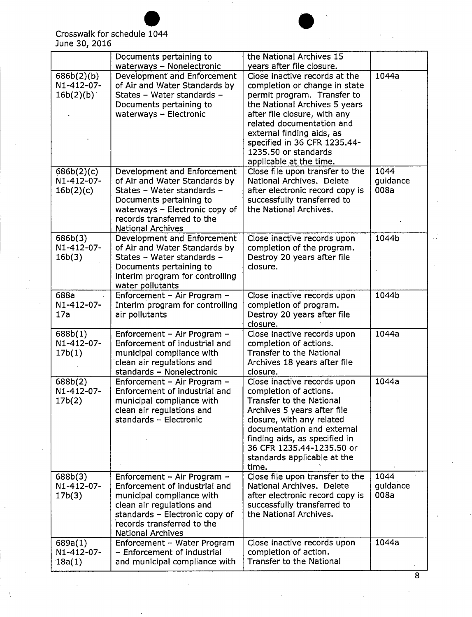$\frac{1}{2}$ 



|                                       | Documents pertaining to                                                                                                                                                                                            | the National Archives 15                                                                                                                                                                                                                                                                                    |                          |
|---------------------------------------|--------------------------------------------------------------------------------------------------------------------------------------------------------------------------------------------------------------------|-------------------------------------------------------------------------------------------------------------------------------------------------------------------------------------------------------------------------------------------------------------------------------------------------------------|--------------------------|
|                                       | waterways - Nonelectronic                                                                                                                                                                                          | years after file closure.                                                                                                                                                                                                                                                                                   |                          |
| 686b(2)(b)<br>N1-412-07-<br>16b(2)(b) | Development and Enforcement<br>of Air and Water Standards by<br>States - Water standards -<br>Documents pertaining to<br>waterways $-$ Electronic                                                                  | Close inactive records at the<br>completion or change in state<br>permit program. Transfer to<br>the National Archives 5 years<br>after file closure, with any<br>related documentation and<br>external finding aids, as<br>specified in 36 CFR 1235.44-<br>1235.50 or standards<br>applicable at the time. | 1044a                    |
| 686b(2)(c)<br>N1-412-07-<br>16b(2)(c) | Development and Enforcement<br>of Air and Water Standards by<br>States - Water standards -<br>Documents pertaining to<br>waterways - Electronic copy of<br>records transferred to the<br><b>National Archives</b>  | Close file upon transfer to the<br>National Archives, Delete<br>after electronic record copy is<br>successfully transferred to<br>the National Archives.                                                                                                                                                    | 1044<br>guidance<br>008a |
| 686b(3)<br>N1-412-07-<br>16b(3)       | Development and Enforcement<br>of Air and Water Standards by<br>States - Water standards -<br>Documents pertaining to<br>interim program for controlling<br>water pollutants                                       | Close inactive records upon<br>completion of the program.<br>Destroy 20 years after file<br>closure.                                                                                                                                                                                                        | 1044b                    |
| 688a<br>N1-412-07-<br>17a             | Enforcement - Air Program -<br>Interim program for controlling<br>air pollutants                                                                                                                                   | Close inactive records upon<br>completion of program.<br>Destroy 20 years after file<br>closure.                                                                                                                                                                                                            | 1044b                    |
| 688b(1)<br>N1-412-07-<br>17b(1)       | Enforcement - Air Program -<br>Enforcement of industrial and<br>municipal compliance with<br>clean air regulations and<br>standards - Nonelectronic                                                                | Close inactive records upon<br>completion of actions.<br><b>Transfer to the National</b><br>Archives 18 years after file<br>closure.                                                                                                                                                                        | 1044a                    |
| 688b(2)<br>N1-412-07-<br>17b(2)       | Enforcement - Air Program -<br>Enforcement of industrial and<br>municipal compliance with<br>clean air regulations and<br>standards - Electronic                                                                   | Close inactive records upon<br>completion of actions.<br>Transfer to the National<br>Archives 5 years after file<br>closure, with any related<br>documentation and external<br>finding aids, as specified in<br>36 CFR 1235.44-1235.50 or<br>standards applicable at the<br>time.                           | 1044a                    |
| 688b(3)<br>N1-412-07-<br>17b(3)       | Enforcement – Air Program –<br>Enforcement of industrial and<br>municipal compliance with<br>clean air regulations and<br>standards - Electronic copy of<br>records transferred to the<br><b>National Archives</b> | Close file upon transfer to the<br>National Archives, Delete<br>after electronic record copy is<br>successfully transferred to<br>the National Archives.                                                                                                                                                    | 1044<br>guidance<br>008a |
| 689a(1)<br>N1-412-07-<br>18a(1)       | Enforcement - Water Program<br>- Enforcement of industrial<br>and municipal compliance with                                                                                                                        | Close inactive records upon<br>completion of action.<br>Transfer to the National                                                                                                                                                                                                                            | 1044a                    |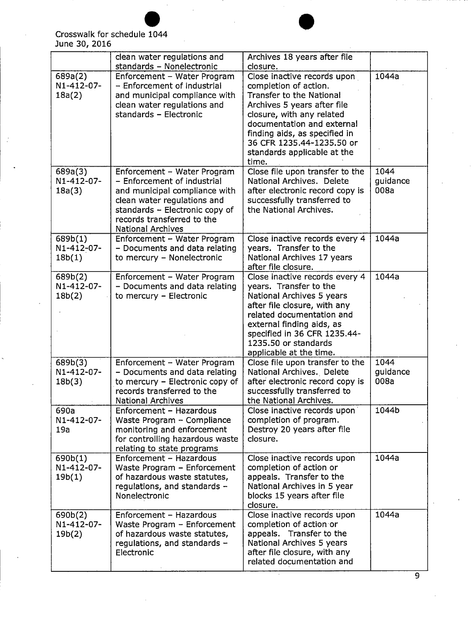|                                 | clean water regulations and<br>standards - Nonelectronic                                                                                                                                                               | Archives 18 years after file<br>closure.                                                                                                                                                                                                                                                |                          |
|---------------------------------|------------------------------------------------------------------------------------------------------------------------------------------------------------------------------------------------------------------------|-----------------------------------------------------------------------------------------------------------------------------------------------------------------------------------------------------------------------------------------------------------------------------------------|--------------------------|
| 689a(2)<br>N1-412-07-<br>18a(2) | Enforcement - Water Program<br>- Enforcement of industrial<br>and municipal compliance with<br>clean water regulations and<br>standards - Electronic                                                                   | Close inactive records upon<br>completion of action.<br><b>Transfer to the National</b><br>Archives 5 years after file<br>closure, with any related<br>documentation and external<br>finding aids, as specified in<br>36 CFR 1235.44-1235.50 or<br>standards applicable at the<br>time. | 1044a                    |
| 689a(3)<br>N1-412-07-<br>18a(3) | Enforcement - Water Program<br>- Enforcement of industrial<br>and municipal compliance with<br>clean water regulations and<br>standards - Electronic copy of<br>records transferred to the<br><b>National Archives</b> | Close file upon transfer to the<br>National Archives. Delete<br>after electronic record copy is<br>successfully transferred to<br>the National Archives.                                                                                                                                | 1044<br>guidance<br>008a |
| 689b(1)<br>N1-412-07-<br>18b(1) | Enforcement - Water Program<br>- Documents and data relating<br>to mercury - Nonelectronic                                                                                                                             | Close inactive records every 4<br>years. Transfer to the<br>National Archives 17 years<br>after file closure.                                                                                                                                                                           | 1044a                    |
| 689b(2)<br>N1-412-07-<br>18b(2) | Enforcement - Water Program<br>- Documents and data relating<br>to mercury - Electronic                                                                                                                                | Close inactive records every 4<br>years. Transfer to the<br>National Archives 5 years<br>after file closure, with any<br>related documentation and<br>external finding aids, as<br>specified in 36 CFR 1235.44-<br>1235.50 or standards<br>applicable at the time.                      | 1044a                    |
| 689b(3)<br>N1-412-07-<br>18b(3) | Enforcement - Water Program<br>- Documents and data relating<br>to mercury - Electronic copy of<br>records transferred to the<br><b>National Archives</b>                                                              | Close file upon transfer to the<br>National Archives. Delete<br>after electronic record copy is<br>successfully transferred to<br>the National Archives.                                                                                                                                | 1044<br>guidance<br>008a |
| 690a<br>N1-412-07-<br>19a       | Enforcement - Hazardous<br>Waste Program - Compliance<br>monitoring and enforcement<br>for controlling hazardous waste<br>relating to state programs                                                                   | Close inactive records upon<br>completion of program.<br>Destroy 20 years after file<br>closure.                                                                                                                                                                                        | 1044b                    |
| 690b(1)<br>N1-412-07-<br>19b(1) | Enforcement - Hazardous<br>Waste Program - Enforcement<br>of hazardous waste statutes,<br>regulations, and standards -<br>Nonelectronic                                                                                | Close inactive records upon<br>completion of action or<br>appeals. Transfer to the<br>National Archives in 5 year<br>blocks 15 years after file<br>closure.                                                                                                                             | 1044a                    |
| 690b(2)<br>N1-412-07-<br>19b(2) | Enforcement - Hazardous<br>Waste Program - Enforcement<br>of hazardous waste statutes,<br>regulations, and standards -<br>Electronic                                                                                   | Close inactive records upon<br>completion of action or<br>appeals. Transfer to the<br>National Archives 5 years<br>after file closure, with any<br>related documentation and                                                                                                            | 1044a                    |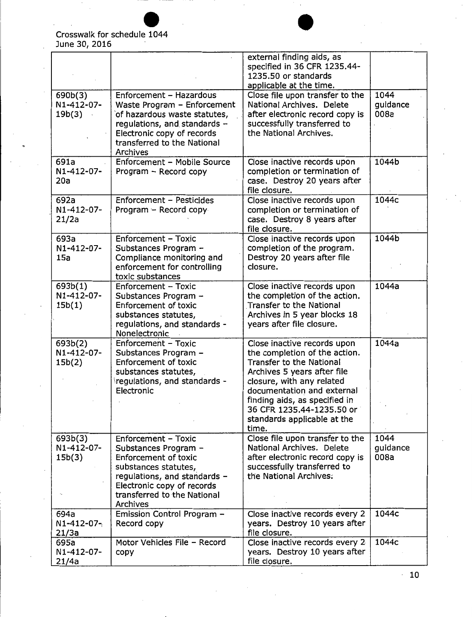|                                      |                                                                                                                                                                                                                    | external finding aids, as<br>specified in 36 CFR 1235.44-<br>1235.50 or standards<br>applicable at the time.                                                                                                                                                                             |                          |
|--------------------------------------|--------------------------------------------------------------------------------------------------------------------------------------------------------------------------------------------------------------------|------------------------------------------------------------------------------------------------------------------------------------------------------------------------------------------------------------------------------------------------------------------------------------------|--------------------------|
| 690b(3)<br>N1-412-07-<br>19b(3)      | Enforcement - Hazardous<br>Waste Program - Enforcement<br>of hazardous waste statutes,<br>regulations, and standards -<br>Electronic copy of records<br>transferred to the National<br>Archives                    | Close file upon transfer to the<br>National Archives. Delete<br>after electronic record copy is<br>successfully transferred to<br>the National Archives.                                                                                                                                 | 1044<br>guidance<br>008a |
| 691a<br>N1-412-07-<br>20a            | Enforcement - Mobile Source<br>Program - Record copy                                                                                                                                                               | Close inactive records upon<br>completion or termination of<br>case. Destroy 20 years after<br>file closure.                                                                                                                                                                             | 1044b                    |
| 692a<br>N1-412-07-<br>21/2a          | Enforcement - Pesticides<br>Program - Record copy                                                                                                                                                                  | Close inactive records upon<br>completion or termination of<br>case. Destroy 8 years after<br>file closure.                                                                                                                                                                              | 1044c                    |
| 693a<br>N1-412-07-<br>15a            | Enforcement - Toxic<br>Substances Program -<br>Compliance monitoring and<br>enforcement for controlling<br>toxic substances                                                                                        | Close inactive records upon<br>completion of the program.<br>Destroy 20 years after file<br>closure.                                                                                                                                                                                     | 1044b                    |
| 693b(1)<br>N1-412-07-<br>15b(1)      | <b>Enforcement - Toxic</b><br>Substances Program -<br><b>Enforcement of toxic</b><br>substances statutes,<br>regulations, and standards -<br>Nonelectronic                                                         | Close inactive records upon<br>the completion of the action.<br><b>Transfer to the National</b><br>Archives in 5 year blocks 18<br>years after file closure.                                                                                                                             | 1044a                    |
| 693b(2)<br>N1-412-07-<br>15b(2)      | <b>Enforcement - Toxic</b><br>Substances Program -<br><b>Enforcement of toxic</b><br>substances statutes,<br>regulations, and standards -<br>Electronic                                                            | Close inactive records upon<br>the completion of the action.<br>Transfer to the National<br>Archives 5 years after file<br>closure, with any related<br>documentation and external<br>finding aids, as specified in<br>36 CFR 1235.44-1235.50 or<br>standards applicable at the<br>time. | 1044a                    |
| 693b(3)<br>N1-412-07-<br>15b(3)      | <b>Enforcement - Toxic</b><br>Substances Program -<br><b>Enforcement of toxic</b><br>substances statutes,<br>regulations, and standards -<br>Electronic copy of records<br>transferred to the National<br>Archives | Close file upon transfer to the<br>National Archives. Delete<br>after electronic record copy is<br>successfully transferred to<br>the National Archives:                                                                                                                                 | 1044<br>guidance<br>008a |
| 694a<br>$N1 - 412 - 07 - 0$<br>21/3a | Emission Control Program -<br>Record copy                                                                                                                                                                          | Close inactive records every 2<br>years. Destroy 10 years after<br>file closure.                                                                                                                                                                                                         | 1044c                    |
| 695a<br>N1-412-07-<br>21/4a          | Motor Vehicles File - Record<br>copy                                                                                                                                                                               | Close inactive records every 2<br>years. Destroy 10 years after<br>file closure.                                                                                                                                                                                                         | 1044c                    |